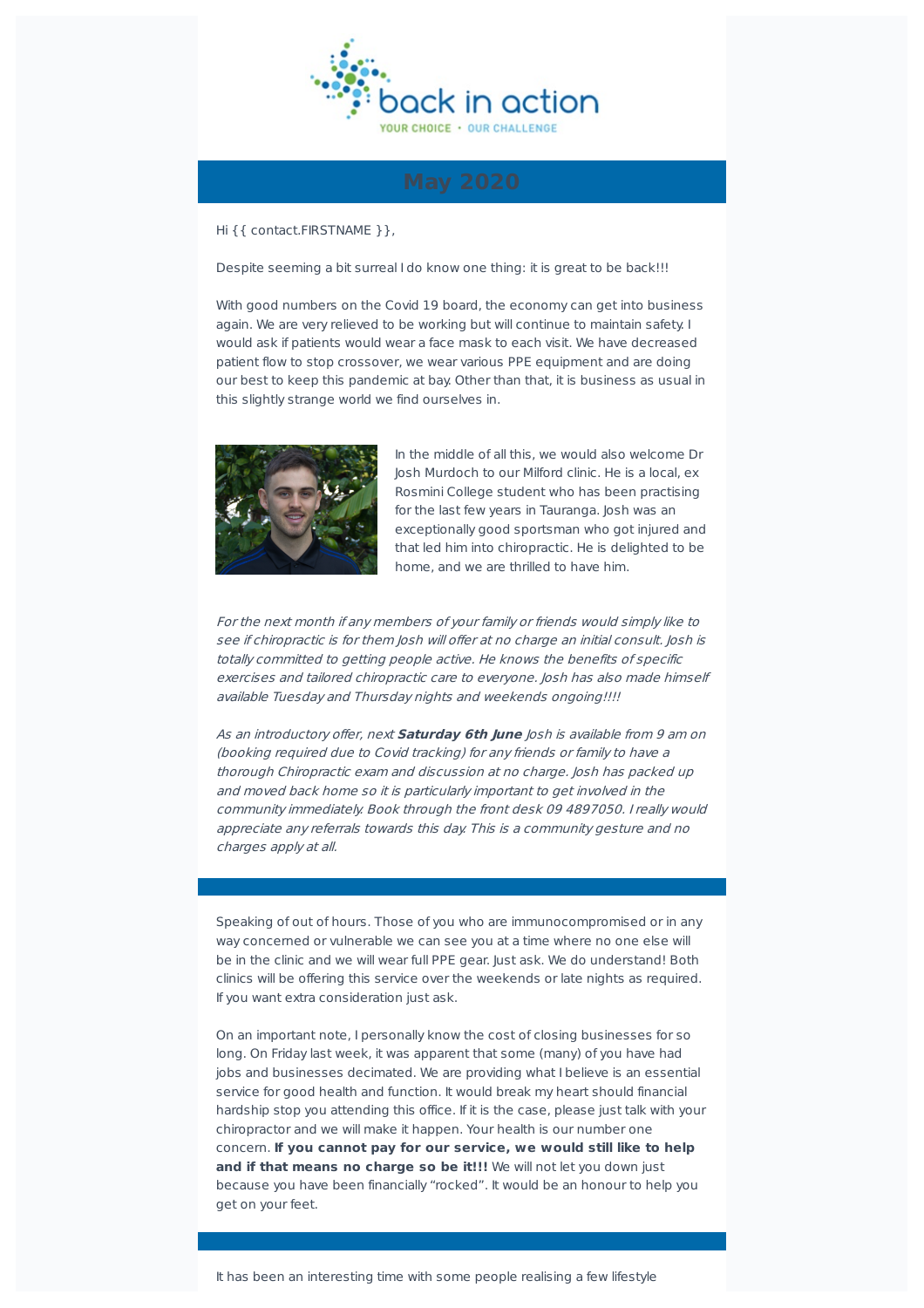

Hi {{ contact.FIRSTNAME }},

Despite seeming a bit surreal I do know one thing: it is great to be back!!!

With good numbers on the Covid 19 board, the economy can get into business again. We are very relieved to be working but will continue to maintain safety. I would ask if patients would wear a face mask to each visit. We have decreased patient flow to stop crossover, we wear various PPE equipment and are doing our best to keep this pandemic at bay. Other than that, it is business as usual in this slightly strange world we find ourselves in.



In the middle of all this, we would also welcome Dr Josh Murdoch to our Milford clinic. He is a local, ex Rosmini College student who has been practising for the last few years in Tauranga, losh was an exceptionally good sportsman who got injured and that led him into chiropractic. He is delighted to be home, and we are thrilled to have him.

For the next month if any members of your family or friends would simply like to see if chiropractic is for them Josh will offer at no charge an initial consult. Josh is totally committed to getting people active. He knows the benefits of specific exercises and tailored chiropractic care to everyone. Josh has also made himself available Tuesday and Thursday nights and weekends ongoing!!!!

As an introductory of er, next **Saturday 6th June** Josh is available from 9 am on (booking required due to Covid tracking) for any friends or family to have <sup>a</sup> thorough Chiropractic exam and discussion at no charge. Josh has packed up and moved back home so it is particularly important to get involved in the community immediately. Book through the front desk 09 4897050. I really would appreciate any referrals towards this day. This is <sup>a</sup> community gesture and no charges apply at all.

Speaking of out of hours. Those of you who are immunocompromised or in any way concerned or vulnerable we can see you at a time where no one else will be in the clinic and we will wear full PPE gear. Just ask. We do understand! Both clinics will be offering this service over the weekends or late nights as required. If you want extra consideration just ask.

On an important note, I personally know the cost of closing businesses for so long. On Friday last week, it was apparent that some (many) of you have had jobs and businesses decimated. We are providing what I believe is an essential service for good health and function. It would break my heart should financial hardship stop you attending this office. If it is the case, please just talk with your chiropractor and we will make it happen. Your health is our number one concern. **If you cannot pay for our service, we would still like to help and if that means no charge so be it!!!** We will not let you down just because you have been financially "rocked". It would be an honour to help you get on your feet.

It has been an interesting time with some people realising a few lifestyle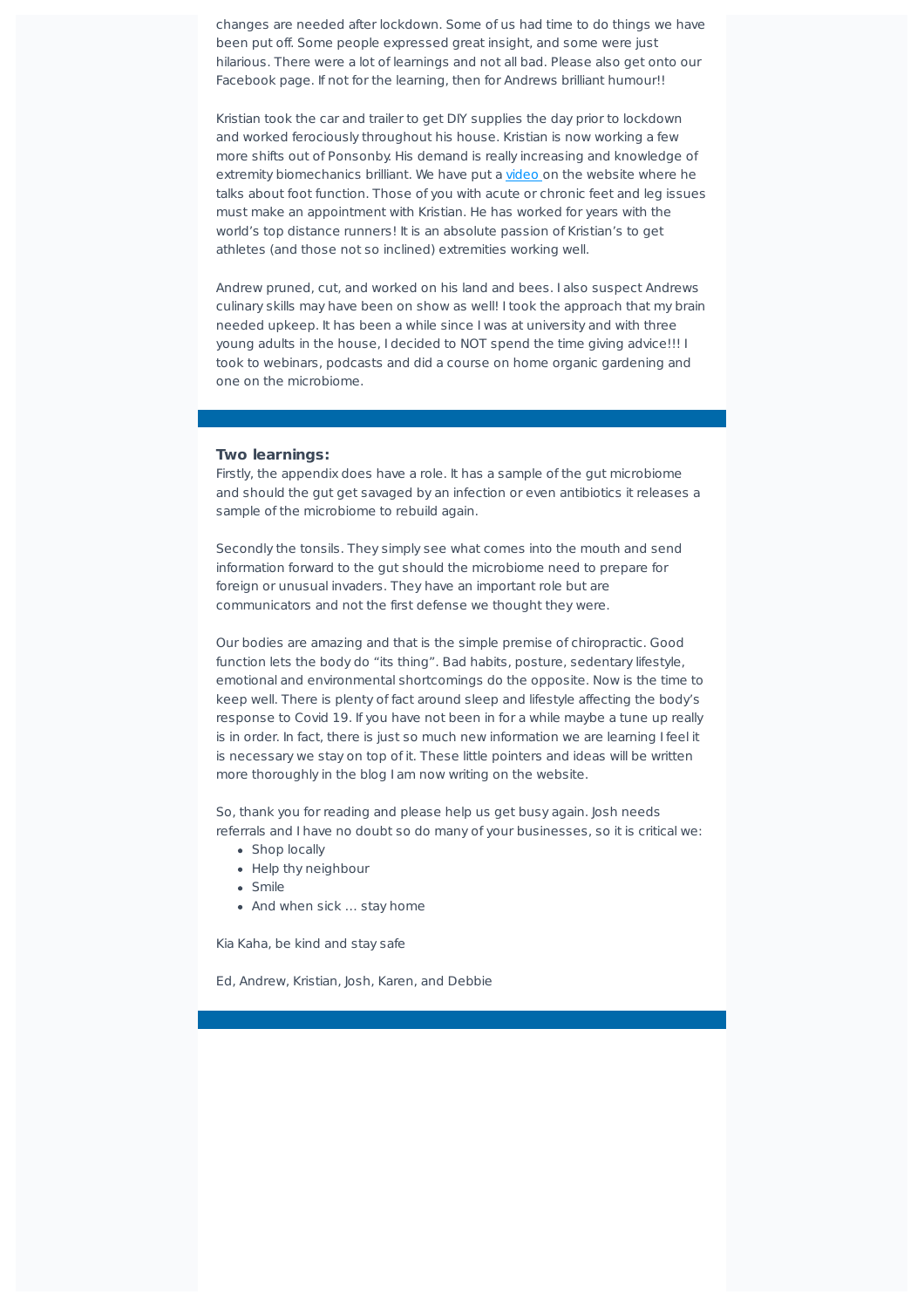changes are needed after lockdown. Some of us had time to do things we have been put off. Some people expressed great insight, and some were just hilarious. There were a lot of learnings and not all bad. Please also get onto our Facebook page. If not for the learning, then for Andrews brilliant humour!!

Kristian took the car and trailer to get DIY supplies the day prior to lockdown and worked ferociously throughout his house. Kristian is now working a few more shifts out of Ponsonby. His demand is really increasing and knowledge of extremity biomechanics brilliant. We have put a video on the website where he talks about foot function. Those of you with acute or chronic feet and leg issues must make an appointment with Kristian. He has worked for years with the world's top distance runners! It is an absolute passion of Kristian's to get athletes (and those not so inclined) extremities working well.

Andrew pruned, cut, and worked on his land and bees. I also suspect Andrews culinary skills may have been on show as well! I took the approach that my brain needed upkeep. It has been a while since I was at university and with three young adults in the house, I decided to NOT spend the time giving advice!!! I took to webinars, podcasts and did a course on home organic gardening and one on the microbiome.

## **Two learnings:**

Firstly, the appendix does have a role. It has a sample of the gut microbiome and should the gut get savaged by an infection or even antibiotics it releases a sample of the microbiome to rebuild again.

Secondly the tonsils. They simply see what comes into the mouth and send information forward to the gut should the microbiome need to prepare for foreign or unusual invaders. They have an important role but are communicators and not the first defense we thought they were.

Our bodies are amazing and that is the simple premise of chiropractic. Good function lets the body do "its thing". Bad habits, posture, sedentary lifestyle, emotional and environmental shortcomings do the opposite. Now is the time to keep well. There is plenty of fact around sleep and lifestyle affecting the body's response to Covid 19. If you have not been in for a while maybe a tune up really is in order. In fact, there is just so much new information we are learning I feel it is necessary we stay on top of it. These little pointers and ideas will be written more thoroughly in the blog I am now writing on the website.

So, thank you for reading and please help us get busy again. Josh needs referrals and I have no doubt so do many of your businesses, so it is critical we:

- Shop locally
- Help thy neighbour
- Smile
- And when sick ... stay home

Kia Kaha, be kind and stay safe

Ed, Andrew, Kristian, Josh, Karen, and Debbie